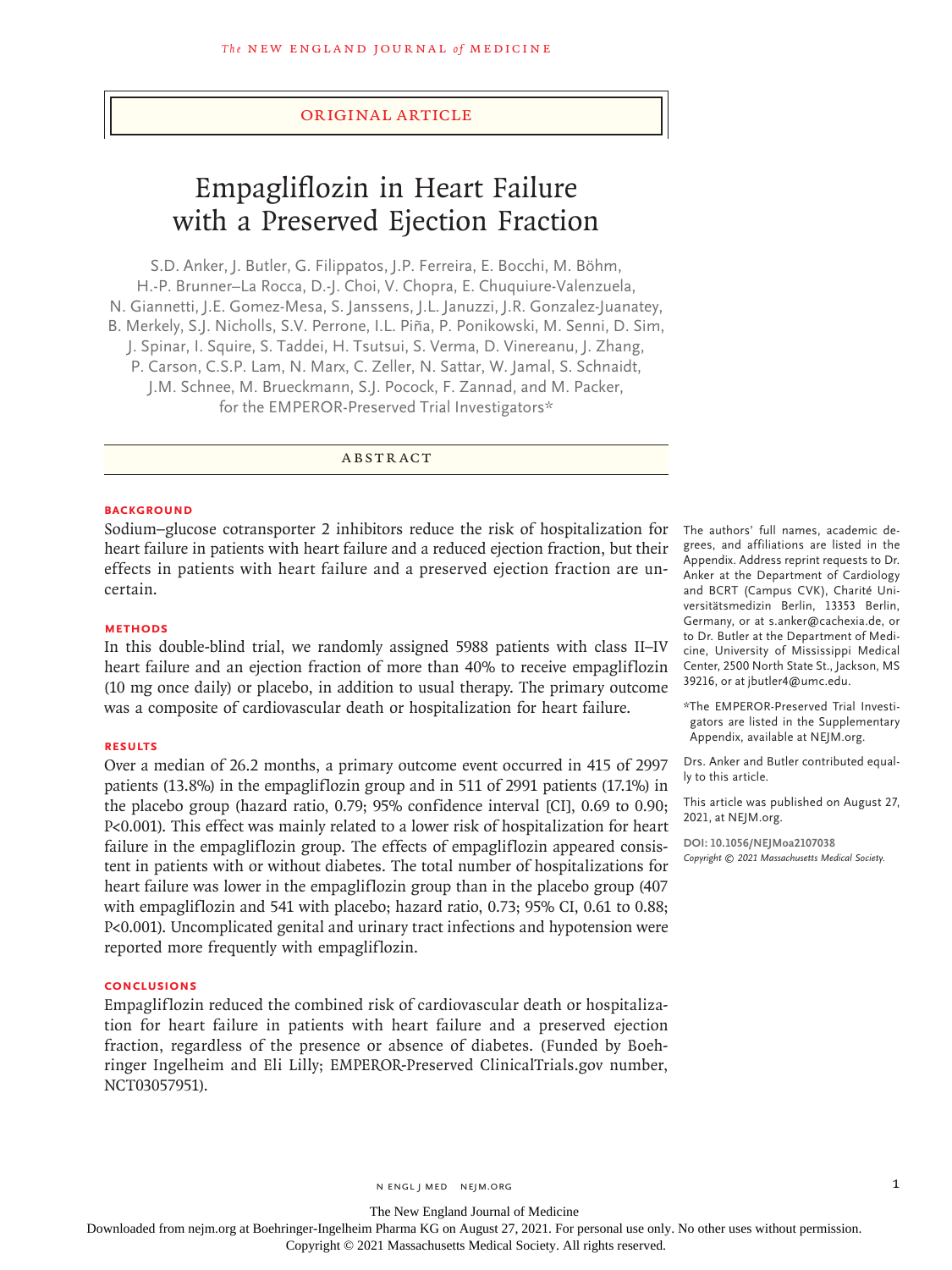## Original Article

# Empagliflozin in Heart Failure with a Preserved Ejection Fraction

S.D. Anker, J. Butler, G. Filippatos, J.P. Ferreira, E. Bocchi, M. Böhm, H.-P. Brunner–La Rocca, D.-J. Choi, V. Chopra, E. Chuquiure-Valenzuela, N. Giannetti, J.E. Gomez-Mesa, S. Janssens, J.L. Januzzi, J.R. Gonzalez-Juanatey, B. Merkely, S.J. Nicholls, S.V. Perrone, I.L. Piña, P. Ponikowski, M. Senni, D. Sim, J. Spinar, I. Squire, S. Taddei, H. Tsutsui, S. Verma, D. Vinereanu, J. Zhang, P. Carson, C.S.P. Lam, N. Marx, C. Zeller, N. Sattar, W. Jamal, S. Schnaidt, J.M. Schnee, M. Brueckmann, S.J. Pocock, F. Zannad, and M. Packer, for the EMPEROR-Preserved Trial Investigators\*

## ABSTRACT

## **BACKGROUND**

Sodium–glucose cotransporter 2 inhibitors reduce the risk of hospitalization for heart failure in patients with heart failure and a reduced ejection fraction, but their effects in patients with heart failure and a preserved ejection fraction are uncertain.

#### **METHODS**

In this double-blind trial, we randomly assigned 5988 patients with class II–IV heart failure and an ejection fraction of more than 40% to receive empagliflozin (10 mg once daily) or placebo, in addition to usual therapy. The primary outcome was a composite of cardiovascular death or hospitalization for heart failure.

## **RESULTS**

Over a median of 26.2 months, a primary outcome event occurred in 415 of 2997 patients (13.8%) in the empagliflozin group and in 511 of 2991 patients (17.1%) in the placebo group (hazard ratio, 0.79; 95% confidence interval [CI], 0.69 to 0.90; P<0.001). This effect was mainly related to a lower risk of hospitalization for heart failure in the empagliflozin group. The effects of empagliflozin appeared consistent in patients with or without diabetes. The total number of hospitalizations for heart failure was lower in the empagliflozin group than in the placebo group (407 with empagliflozin and 541 with placebo; hazard ratio, 0.73; 95% CI, 0.61 to 0.88; P<0.001). Uncomplicated genital and urinary tract infections and hypotension were reported more frequently with empagliflozin.

## **CONCLUSIONS**

Empagliflozin reduced the combined risk of cardiovascular death or hospitalization for heart failure in patients with heart failure and a preserved ejection fraction, regardless of the presence or absence of diabetes. (Funded by Boehringer Ingelheim and Eli Lilly; EMPEROR-Preserved ClinicalTrials.gov number, NCT03057951).

The authors' full names, academic degrees, and affiliations are listed in the Appendix. Address reprint requests to Dr. Anker at the Department of Cardiology and BCRT (Campus CVK), Charité Universitätsmedizin Berlin, 13353 Berlin, Germany, or at s.anker@cachexia.de, or to Dr. Butler at the Department of Medicine, University of Mississippi Medical Center, 2500 North State St., Jackson, MS 39216, or at jbutler4@umc.edu.

\*The EMPEROR-Preserved Trial Investigators are listed in the Supplementary Appendix, available at NEJM.org.

Drs. Anker and Butler contributed equally to this article.

This article was published on August 27, 2021, at NEJM.org.

**DOI: 10.1056/NEJMoa2107038** *Copyright © 2021 Massachusetts Medical Society.*

The New England Journal of Medicine

Downloaded from nejm.org at Boehringer-Ingelheim Pharma KG on August 27, 2021. For personal use only. No other uses without permission.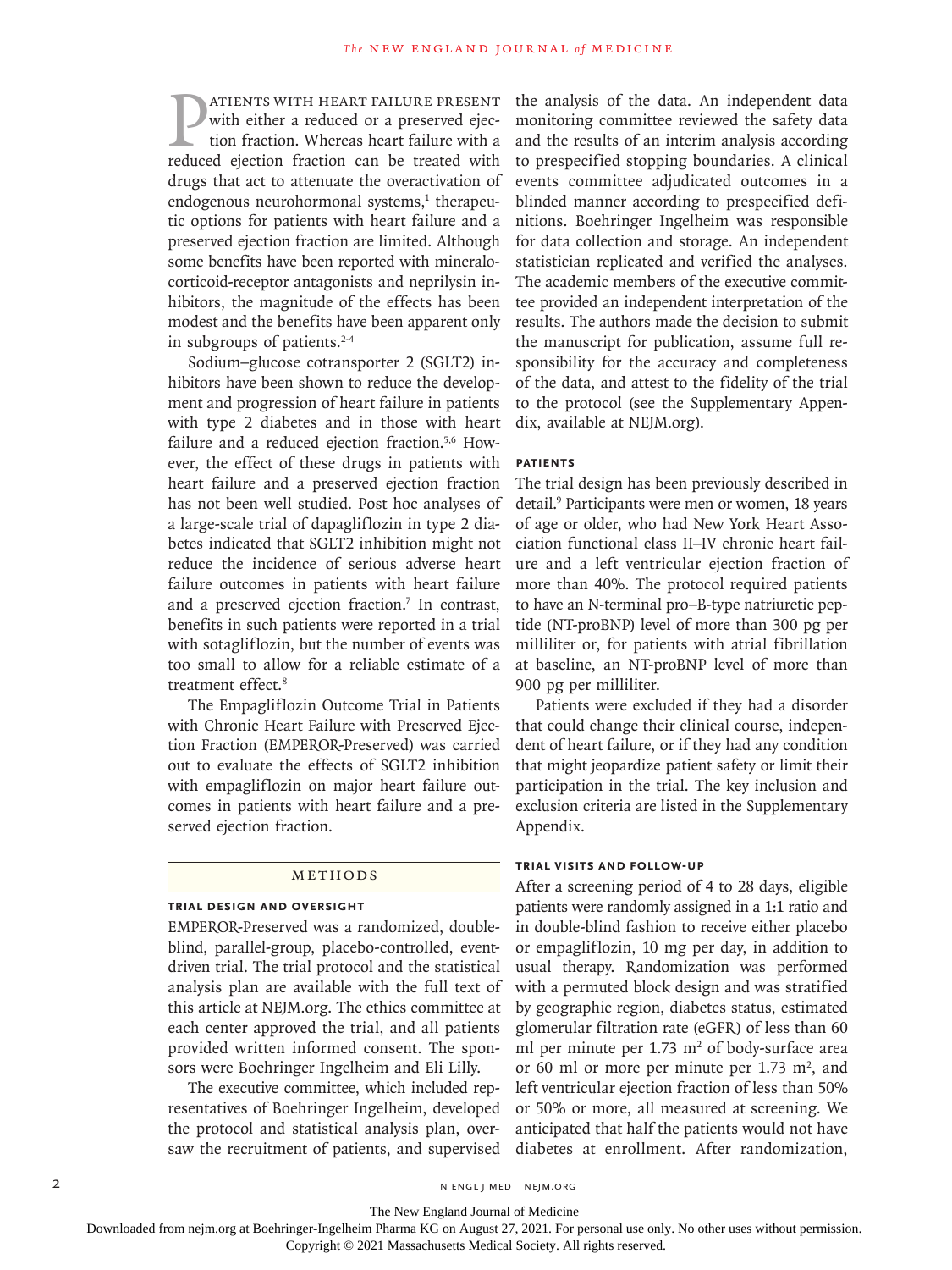**PATIENTS WITH HEART FAILURE PRESENT**<br>with either a reduced or a preserved ejec-<br>tion fraction. Whereas heart failure with a<br>reduced ejection fraction can be treated with with either a reduced or a preserved ejection fraction. Whereas heart failure with a reduced ejection fraction can be treated with drugs that act to attenuate the overactivation of endogenous neurohormonal systems,<sup>1</sup> therapeutic options for patients with heart failure and a preserved ejection fraction are limited. Although some benefits have been reported with mineralocorticoid-receptor antagonists and neprilysin inhibitors, the magnitude of the effects has been modest and the benefits have been apparent only in subgroups of patients.<sup>2-4</sup>

Sodium–glucose cotransporter 2 (SGLT2) inhibitors have been shown to reduce the development and progression of heart failure in patients with type 2 diabetes and in those with heart failure and a reduced ejection fraction.<sup>5,6</sup> However, the effect of these drugs in patients with heart failure and a preserved ejection fraction has not been well studied. Post hoc analyses of a large-scale trial of dapagliflozin in type 2 diabetes indicated that SGLT2 inhibition might not reduce the incidence of serious adverse heart failure outcomes in patients with heart failure and a preserved ejection fraction.<sup>7</sup> In contrast, benefits in such patients were reported in a trial with sotagliflozin, but the number of events was too small to allow for a reliable estimate of a treatment effect.8

The Empagliflozin Outcome Trial in Patients with Chronic Heart Failure with Preserved Ejection Fraction (EMPEROR-Preserved) was carried out to evaluate the effects of SGLT2 inhibition with empagliflozin on major heart failure outcomes in patients with heart failure and a preserved ejection fraction.

## Methods

## **Trial Design and Oversight**

EMPEROR-Preserved was a randomized, doubleblind, parallel-group, placebo-controlled, eventdriven trial. The trial protocol and the statistical analysis plan are available with the full text of this article at NEJM.org. The ethics committee at each center approved the trial, and all patients provided written informed consent. The sponsors were Boehringer Ingelheim and Eli Lilly.

The executive committee, which included representatives of Boehringer Ingelheim, developed the protocol and statistical analysis plan, oversaw the recruitment of patients, and supervised

the analysis of the data. An independent data monitoring committee reviewed the safety data and the results of an interim analysis according to prespecified stopping boundaries. A clinical events committee adjudicated outcomes in a blinded manner according to prespecified definitions. Boehringer Ingelheim was responsible for data collection and storage. An independent statistician replicated and verified the analyses. The academic members of the executive committee provided an independent interpretation of the results. The authors made the decision to submit the manuscript for publication, assume full responsibility for the accuracy and completeness of the data, and attest to the fidelity of the trial to the protocol (see the Supplementary Appendix, available at NEJM.org).

#### **Patients**

The trial design has been previously described in detail.9 Participants were men or women, 18 years of age or older, who had New York Heart Association functional class II–IV chronic heart failure and a left ventricular ejection fraction of more than 40%. The protocol required patients to have an N-terminal pro–B-type natriuretic peptide (NT-proBNP) level of more than 300 pg per milliliter or, for patients with atrial fibrillation at baseline, an NT-proBNP level of more than 900 pg per milliliter.

Patients were excluded if they had a disorder that could change their clinical course, independent of heart failure, or if they had any condition that might jeopardize patient safety or limit their participation in the trial. The key inclusion and exclusion criteria are listed in the Supplementary Appendix.

## **Trial Visits and Follow-Up**

After a screening period of 4 to 28 days, eligible patients were randomly assigned in a 1:1 ratio and in double-blind fashion to receive either placebo or empagliflozin, 10 mg per day, in addition to usual therapy. Randomization was performed with a permuted block design and was stratified by geographic region, diabetes status, estimated glomerular filtration rate (eGFR) of less than 60 ml per minute per  $1.73 \text{ m}^2$  of body-surface area or 60 ml or more per minute per 1.73  $m^2$ , and left ventricular ejection fraction of less than 50% or 50% or more, all measured at screening. We anticipated that half the patients would not have diabetes at enrollment. After randomization,

The New England Journal of Medicine

Downloaded from nejm.org at Boehringer-Ingelheim Pharma KG on August 27, 2021. For personal use only. No other uses without permission.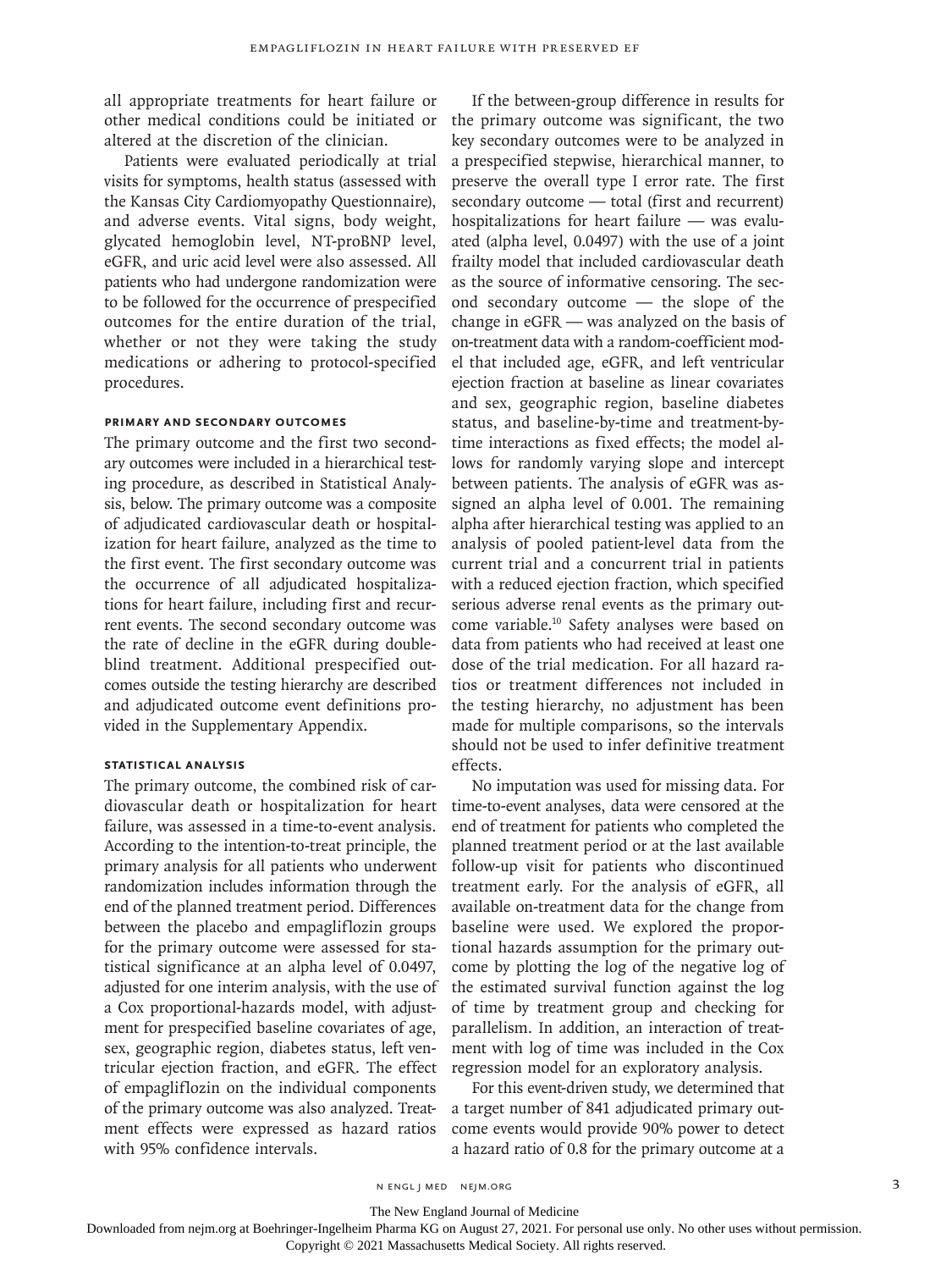all appropriate treatments for heart failure or other medical conditions could be initiated or altered at the discretion of the clinician.

Patients were evaluated periodically at trial visits for symptoms, health status (assessed with the Kansas City Cardiomyopathy Questionnaire), and adverse events. Vital signs, body weight, glycated hemoglobin level, NT-proBNP level, eGFR, and uric acid level were also assessed. All patients who had undergone randomization were to be followed for the occurrence of prespecified outcomes for the entire duration of the trial, whether or not they were taking the study medications or adhering to protocol-specified procedures.

## **Primary and Secondary Outcomes**

The primary outcome and the first two secondary outcomes were included in a hierarchical testing procedure, as described in Statistical Analysis, below. The primary outcome was a composite of adjudicated cardiovascular death or hospitalization for heart failure, analyzed as the time to the first event. The first secondary outcome was the occurrence of all adjudicated hospitalizations for heart failure, including first and recurrent events. The second secondary outcome was the rate of decline in the eGFR during doubleblind treatment. Additional prespecified outcomes outside the testing hierarchy are described and adjudicated outcome event definitions provided in the Supplementary Appendix.

#### **Statistical Analysis**

The primary outcome, the combined risk of cardiovascular death or hospitalization for heart failure, was assessed in a time-to-event analysis. According to the intention-to-treat principle, the primary analysis for all patients who underwent randomization includes information through the end of the planned treatment period. Differences between the placebo and empagliflozin groups for the primary outcome were assessed for statistical significance at an alpha level of 0.0497, adjusted for one interim analysis, with the use of a Cox proportional-hazards model, with adjustment for prespecified baseline covariates of age, sex, geographic region, diabetes status, left ventricular ejection fraction, and eGFR. The effect of empagliflozin on the individual components of the primary outcome was also analyzed. Treatment effects were expressed as hazard ratios with 95% confidence intervals.

If the between-group difference in results for the primary outcome was significant, the two key secondary outcomes were to be analyzed in a prespecified stepwise, hierarchical manner, to preserve the overall type I error rate. The first secondary outcome — total (first and recurrent) hospitalizations for heart failure — was evaluated (alpha level, 0.0497) with the use of a joint frailty model that included cardiovascular death as the source of informative censoring. The second secondary outcome — the slope of the change in eGFR — was analyzed on the basis of on-treatment data with a random-coefficient model that included age, eGFR, and left ventricular ejection fraction at baseline as linear covariates and sex, geographic region, baseline diabetes status, and baseline-by-time and treatment-bytime interactions as fixed effects; the model allows for randomly varying slope and intercept between patients. The analysis of eGFR was assigned an alpha level of 0.001. The remaining alpha after hierarchical testing was applied to an analysis of pooled patient-level data from the current trial and a concurrent trial in patients with a reduced ejection fraction, which specified serious adverse renal events as the primary outcome variable.10 Safety analyses were based on data from patients who had received at least one dose of the trial medication. For all hazard ratios or treatment differences not included in the testing hierarchy, no adjustment has been made for multiple comparisons, so the intervals should not be used to infer definitive treatment effects.

No imputation was used for missing data. For time-to-event analyses, data were censored at the end of treatment for patients who completed the planned treatment period or at the last available follow-up visit for patients who discontinued treatment early. For the analysis of eGFR, all available on-treatment data for the change from baseline were used. We explored the proportional hazards assumption for the primary outcome by plotting the log of the negative log of the estimated survival function against the log of time by treatment group and checking for parallelism. In addition, an interaction of treatment with log of time was included in the Cox regression model for an exploratory analysis.

For this event-driven study, we determined that a target number of 841 adjudicated primary outcome events would provide 90% power to detect a hazard ratio of 0.8 for the primary outcome at a

n engl j med nejm.org 3

The New England Journal of Medicine

Downloaded from nejm.org at Boehringer-Ingelheim Pharma KG on August 27, 2021. For personal use only. No other uses without permission.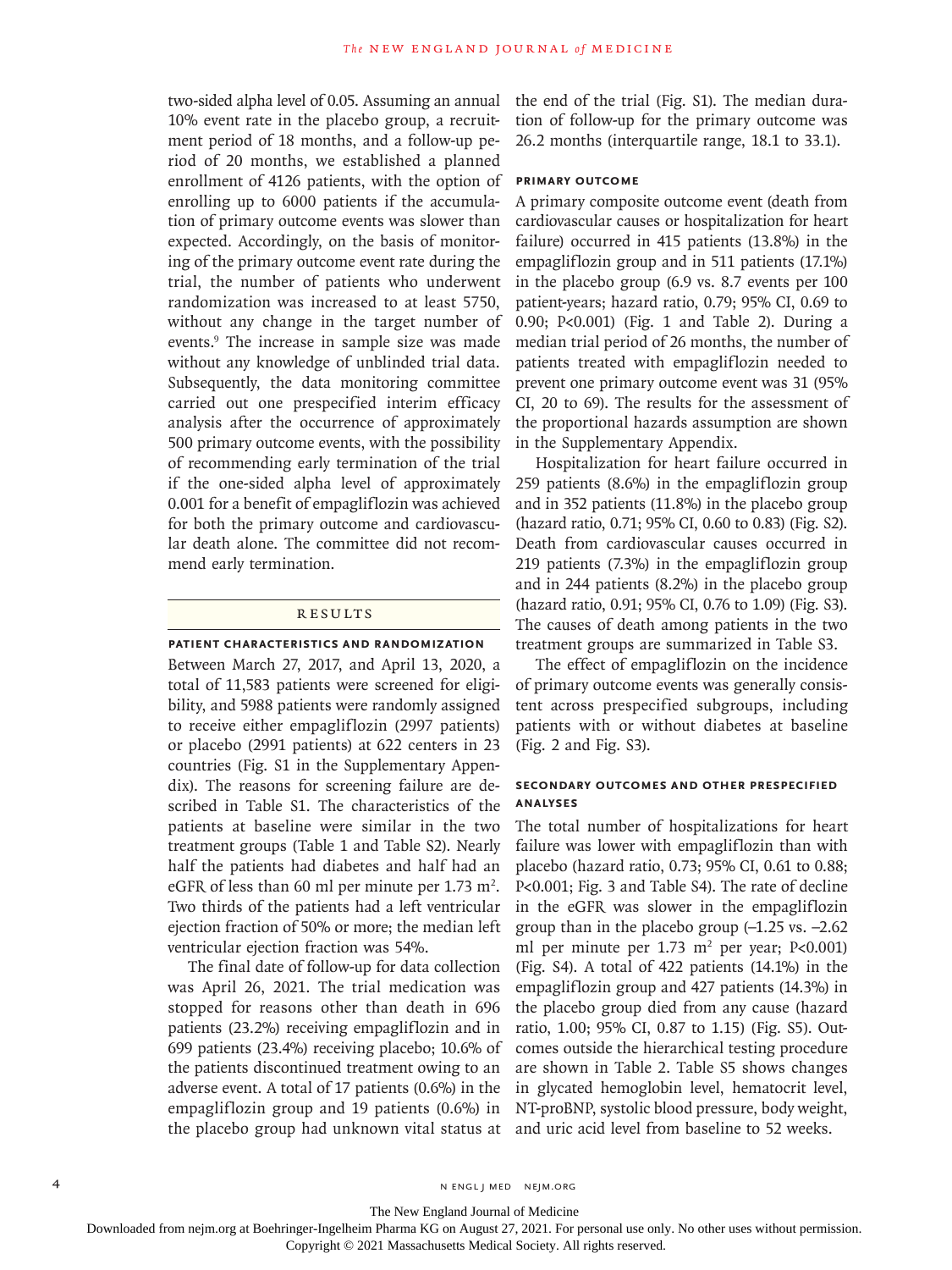two-sided alpha level of 0.05. Assuming an annual 10% event rate in the placebo group, a recruitment period of 18 months, and a follow-up period of 20 months, we established a planned enrollment of 4126 patients, with the option of enrolling up to 6000 patients if the accumulation of primary outcome events was slower than expected. Accordingly, on the basis of monitoring of the primary outcome event rate during the trial, the number of patients who underwent randomization was increased to at least 5750, without any change in the target number of events.9 The increase in sample size was made without any knowledge of unblinded trial data. Subsequently, the data monitoring committee carried out one prespecified interim efficacy analysis after the occurrence of approximately 500 primary outcome events, with the possibility of recommending early termination of the trial if the one-sided alpha level of approximately 0.001 for a benefit of empagliflozin was achieved for both the primary outcome and cardiovascular death alone. The committee did not recommend early termination.

## Results

## **Patient Characteristics and Randomization**

Between March 27, 2017, and April 13, 2020, a total of 11,583 patients were screened for eligibility, and 5988 patients were randomly assigned to receive either empagliflozin (2997 patients) or placebo (2991 patients) at 622 centers in 23 countries (Fig. S1 in the Supplementary Appendix). The reasons for screening failure are described in Table S1. The characteristics of the patients at baseline were similar in the two treatment groups (Table 1 and Table S2). Nearly half the patients had diabetes and half had an eGFR of less than 60 ml per minute per  $1.73 \text{ m}^2$ . Two thirds of the patients had a left ventricular ejection fraction of 50% or more; the median left ventricular ejection fraction was 54%.

The final date of follow-up for data collection was April 26, 2021. The trial medication was stopped for reasons other than death in 696 patients (23.2%) receiving empagliflozin and in 699 patients (23.4%) receiving placebo; 10.6% of the patients discontinued treatment owing to an adverse event. A total of 17 patients (0.6%) in the empagliflozin group and 19 patients (0.6%) in the placebo group had unknown vital status at

the end of the trial (Fig. S1). The median duration of follow-up for the primary outcome was 26.2 months (interquartile range, 18.1 to 33.1).

### **Primary Outcome**

A primary composite outcome event (death from cardiovascular causes or hospitalization for heart failure) occurred in 415 patients (13.8%) in the empagliflozin group and in 511 patients (17.1%) in the placebo group (6.9 vs. 8.7 events per 100 patient-years; hazard ratio, 0.79; 95% CI, 0.69 to 0.90; P<0.001) (Fig. 1 and Table 2). During a median trial period of 26 months, the number of patients treated with empagliflozin needed to prevent one primary outcome event was 31 (95% CI, 20 to 69). The results for the assessment of the proportional hazards assumption are shown in the Supplementary Appendix.

Hospitalization for heart failure occurred in 259 patients (8.6%) in the empagliflozin group and in 352 patients (11.8%) in the placebo group (hazard ratio, 0.71; 95% CI, 0.60 to 0.83) (Fig. S2). Death from cardiovascular causes occurred in 219 patients (7.3%) in the empagliflozin group and in 244 patients (8.2%) in the placebo group (hazard ratio, 0.91; 95% CI, 0.76 to 1.09) (Fig. S3). The causes of death among patients in the two treatment groups are summarized in Table S3.

The effect of empagliflozin on the incidence of primary outcome events was generally consistent across prespecified subgroups, including patients with or without diabetes at baseline (Fig. 2 and Fig. S3).

## **Secondary Outcomes and Other Prespecified Analyses**

The total number of hospitalizations for heart failure was lower with empagliflozin than with placebo (hazard ratio, 0.73; 95% CI, 0.61 to 0.88; P<0.001; Fig. 3 and Table S4). The rate of decline in the eGFR was slower in the empagliflozin group than in the placebo group  $(-1.25 \text{ vs. } -2.62)$ ml per minute per  $1.73 \text{ m}^2$  per year; P<0.001) (Fig. S4). A total of 422 patients (14.1%) in the empagliflozin group and 427 patients (14.3%) in the placebo group died from any cause (hazard ratio, 1.00; 95% CI, 0.87 to 1.15) (Fig. S5). Outcomes outside the hierarchical testing procedure are shown in Table 2. Table S5 shows changes in glycated hemoglobin level, hematocrit level, NT-proBNP, systolic blood pressure, body weight, and uric acid level from baseline to 52 weeks.

The New England Journal of Medicine

Downloaded from nejm.org at Boehringer-Ingelheim Pharma KG on August 27, 2021. For personal use only. No other uses without permission.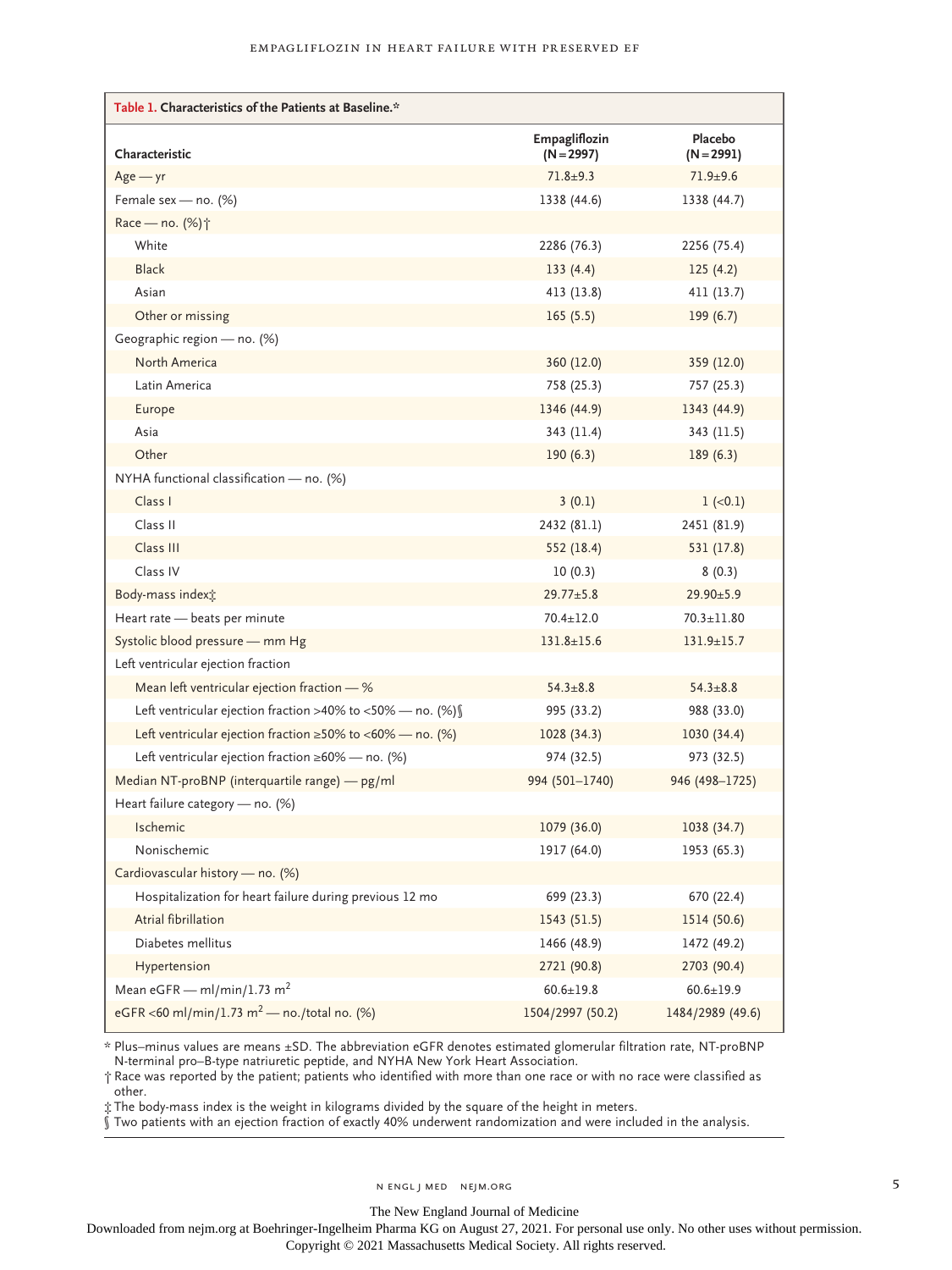| Table 1. Characteristics of the Patients at Baseline.*               |                               |                         |
|----------------------------------------------------------------------|-------------------------------|-------------------------|
| Characteristic                                                       | Empagliflozin<br>$(N = 2997)$ | Placebo<br>$(N = 2991)$ |
| $Age - yr$                                                           | $71.8 + 9.3$                  | $71.9 + 9.6$            |
| Female sex - no. (%)                                                 | 1338 (44.6)                   | 1338 (44.7)             |
| Race - no. (%) <sup>+</sup>                                          |                               |                         |
| White                                                                | 2286 (76.3)                   | 2256 (75.4)             |
| <b>Black</b>                                                         | 133(4.4)                      | 125(4.2)                |
| Asian                                                                | 413 (13.8)                    | 411 (13.7)              |
| Other or missing                                                     | 165(5.5)                      | 199(6.7)                |
| Geographic region - no. (%)                                          |                               |                         |
| North America                                                        | 360 (12.0)                    | 359 (12.0)              |
| Latin America                                                        | 758 (25.3)                    | 757 (25.3)              |
| Europe                                                               | 1346 (44.9)                   | 1343 (44.9)             |
| Asia                                                                 | 343 (11.4)                    | 343 (11.5)              |
| Other                                                                | 190(6.3)                      | 189(6.3)                |
| NYHA functional classification - no. (%)                             |                               |                         |
| Class I                                                              | 3(0.1)                        | $1 (-0.1)$              |
| Class II                                                             | 2432 (81.1)                   | 2451 (81.9)             |
| Class III                                                            | 552 (18.4)                    | 531 (17.8)              |
| Class IV                                                             | 10(0.3)                       | 8(0.3)                  |
| Body-mass indext:                                                    | $29.77 \pm 5.8$               | $29.90 \pm 5.9$         |
| Heart rate - beats per minute                                        | $70.4 \pm 12.0$               | $70.3 \pm 11.80$        |
| Systolic blood pressure - mm Hg                                      | $131.8 \pm 15.6$              | $131.9 \pm 15.7$        |
| Left ventricular ejection fraction                                   |                               |                         |
| Mean left ventricular ejection fraction - %                          | $54.3 \pm 8.8$                | $54.3 \pm 8.8$          |
| Left ventricular ejection fraction >40% to <50% - no. (%) $\sqrt{ }$ | 995 (33.2)                    | 988 (33.0)              |
| Left ventricular ejection fraction $\geq$ 50% to <60% — no. (%)      | 1028 (34.3)                   | 1030 (34.4)             |
| Left ventricular ejection fraction $\geq 60\%$ - no. (%)             | 974 (32.5)                    | 973 (32.5)              |
| Median NT-proBNP (interquartile range) - pg/ml                       | 994 (501-1740)                | 946 (498-1725)          |
| Heart failure category - no. (%)                                     |                               |                         |
| Ischemic                                                             | 1079 (36.0)                   | 1038 (34.7)             |
| Nonischemic                                                          | 1917 (64.0)                   | 1953 (65.3)             |
| Cardiovascular history - no. (%)                                     |                               |                         |
| Hospitalization for heart failure during previous 12 mo              | 699 (23.3)                    | 670 (22.4)              |
| Atrial fibrillation                                                  | 1543 (51.5)                   | 1514 (50.6)             |
| Diabetes mellitus                                                    | 1466 (48.9)                   | 1472 (49.2)             |
| Hypertension                                                         | 2721 (90.8)                   | 2703 (90.4)             |
| Mean eGFR - ml/min/1.73 m <sup>2</sup>                               | $60.6 \pm 19.8$               | $60.6 \pm 19.9$         |
| eGFR <60 ml/min/1.73 m <sup>2</sup> - no./total no. (%)              | 1504/2997 (50.2)              | 1484/2989 (49.6)        |

\* Plus–minus values are means ±SD. The abbreviation eGFR denotes estimated glomerular filtration rate, NT-proBNP N-terminal pro–B-type natriuretic peptide, and NYHA New York Heart Association.

† Race was reported by the patient; patients who identified with more than one race or with no race were classified as other.

‡ The body-mass index is the weight in kilograms divided by the square of the height in meters.

§ Two patients with an ejection fraction of exactly 40% underwent randomization and were included in the analysis.

The New England Journal of Medicine

Downloaded from nejm.org at Boehringer-Ingelheim Pharma KG on August 27, 2021. For personal use only. No other uses without permission.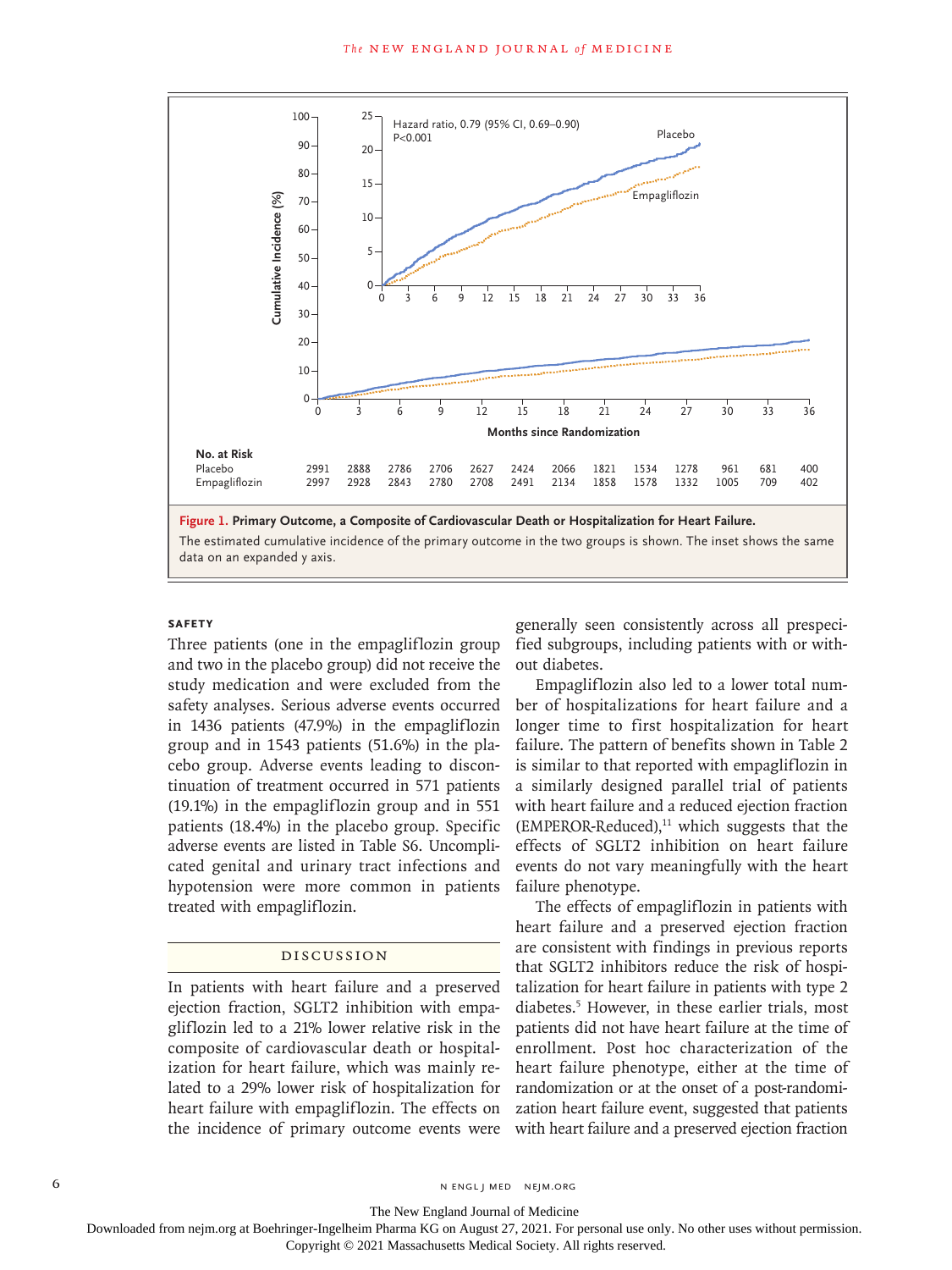

## **Safety**

Three patients (one in the empagliflozin group and two in the placebo group) did not receive the study medication and were excluded from the safety analyses. Serious adverse events occurred in 1436 patients (47.9%) in the empagliflozin group and in 1543 patients (51.6%) in the placebo group. Adverse events leading to discontinuation of treatment occurred in 571 patients (19.1%) in the empagliflozin group and in 551 patients (18.4%) in the placebo group. Specific adverse events are listed in Table S6. Uncomplicated genital and urinary tract infections and hypotension were more common in patients treated with empagliflozin.

### Discussion

In patients with heart failure and a preserved ejection fraction, SGLT2 inhibition with empagliflozin led to a 21% lower relative risk in the composite of cardiovascular death or hospitalization for heart failure, which was mainly related to a 29% lower risk of hospitalization for heart failure with empagliflozin. The effects on the incidence of primary outcome events were generally seen consistently across all prespecified subgroups, including patients with or without diabetes.

Empagliflozin also led to a lower total number of hospitalizations for heart failure and a longer time to first hospitalization for heart failure. The pattern of benefits shown in Table 2 is similar to that reported with empagliflozin in a similarly designed parallel trial of patients with heart failure and a reduced ejection fraction  $(EMPEROR-Reduced),<sup>11</sup>$  which suggests that the effects of SGLT2 inhibition on heart failure events do not vary meaningfully with the heart failure phenotype.

The effects of empagliflozin in patients with heart failure and a preserved ejection fraction are consistent with findings in previous reports that SGLT2 inhibitors reduce the risk of hospitalization for heart failure in patients with type 2 diabetes.5 However, in these earlier trials, most patients did not have heart failure at the time of enrollment. Post hoc characterization of the heart failure phenotype, either at the time of randomization or at the onset of a post-randomization heart failure event, suggested that patients with heart failure and a preserved ejection fraction

6 **n** engl j med nejm.org neighbors in the neutral media  $\frac{1}{2}$  media  $\frac{1}{2}$  media  $\frac{1}{2}$  media  $\frac{1}{2}$  media  $\frac{1}{2}$  media  $\frac{1}{2}$  media  $\frac{1}{2}$  media  $\frac{1}{2}$  media  $\frac{1}{2}$  media  $\frac{1}{2}$  media  $\frac{1$ 

The New England Journal of Medicine

Downloaded from nejm.org at Boehringer-Ingelheim Pharma KG on August 27, 2021. For personal use only. No other uses without permission.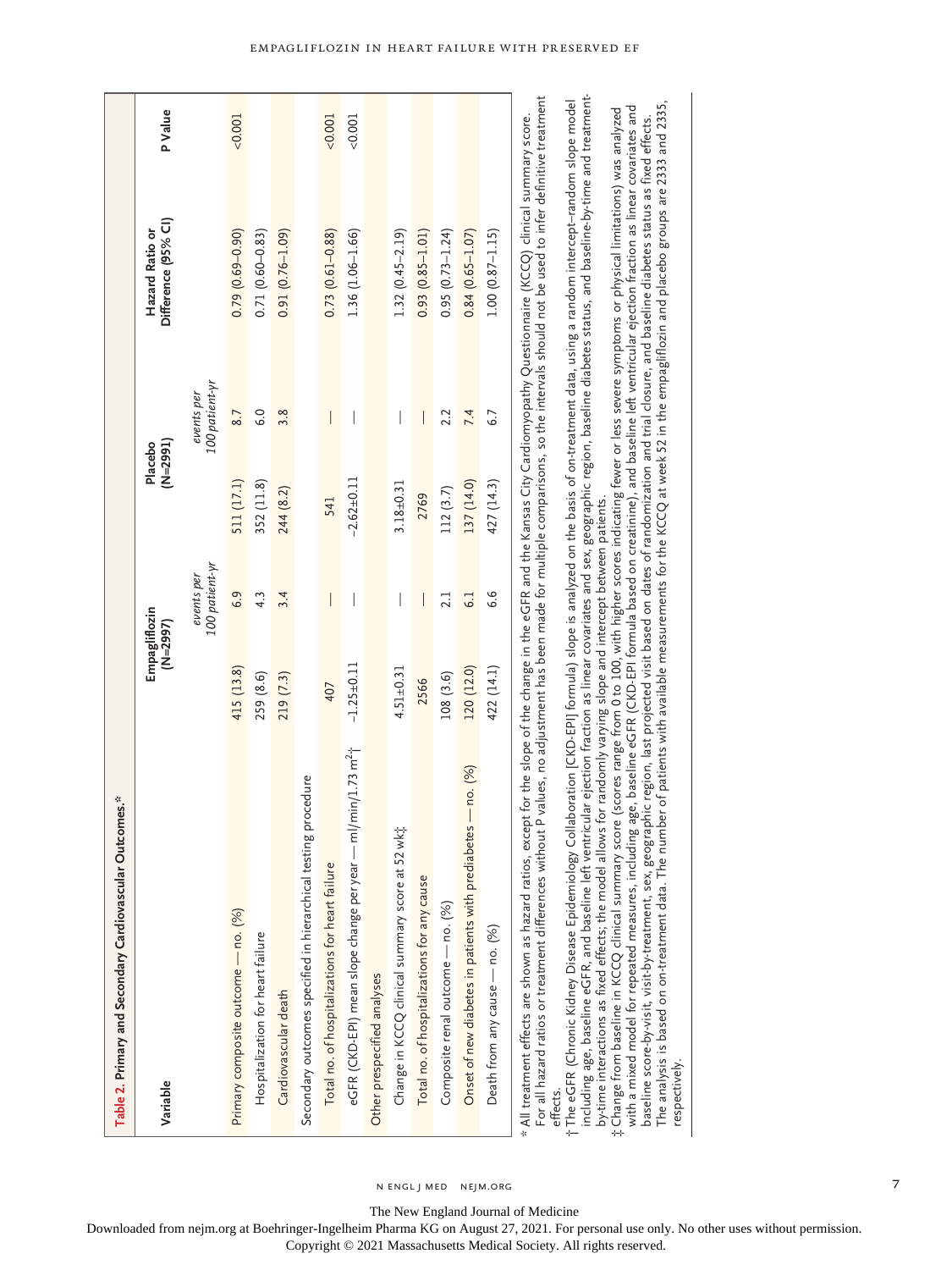| Table 2. Primary and Secondary Cardiovascular Outcomes.*                                                                                                                                                                                                                                                                                                                                   |                  |                              |               |                              |                                        |                |
|--------------------------------------------------------------------------------------------------------------------------------------------------------------------------------------------------------------------------------------------------------------------------------------------------------------------------------------------------------------------------------------------|------------------|------------------------------|---------------|------------------------------|----------------------------------------|----------------|
| Variable                                                                                                                                                                                                                                                                                                                                                                                   |                  | Empagliflozin<br>$(N=2997)$  | $(M=2991)$    | Placebo                      | Difference (95% Cl)<br>Hazard Ratio or | <b>P</b> Value |
|                                                                                                                                                                                                                                                                                                                                                                                            |                  | 100 patient-yr<br>events per |               | 100 patient-yr<br>events per |                                        |                |
| Primary composite outcome — no. (%)                                                                                                                                                                                                                                                                                                                                                        | 415 (13.8)       | 6.9                          | 511 (17.1)    | 8.7                          | $0.79(0.69 - 0.90)$                    | < 0.001        |
| Hospitalization for heart failure                                                                                                                                                                                                                                                                                                                                                          | 259 (8.6)        | 4.3                          | 352 (11.8)    | 6.0                          | $0.71(0.60 - 0.83)$                    |                |
| Cardiovascular death                                                                                                                                                                                                                                                                                                                                                                       | 219 (7.3)        | 3.4                          | 244 (8.2)     | 3.8                          | $0.91(0.76 - 1.09)$                    |                |
| Secondary outcomes specified in hierarchical testing procedure                                                                                                                                                                                                                                                                                                                             |                  |                              |               |                              |                                        |                |
| Total no. of hospitalizations for heart failure                                                                                                                                                                                                                                                                                                                                            | 407              | $\overline{\phantom{a}}$     | 541           | $\overline{\phantom{a}}$     | $0.73(0.61 - 0.88)$                    | 0.001          |
| $-m/min/1.73 m2$ <sup>+</sup><br>eGFR (CKD-EPI) mean slope change per year-                                                                                                                                                                                                                                                                                                                | $-1.25 \pm 0.11$ | $\mid$                       | $-2.62+0.11$  | $\mid$                       | $1.36(1.06 - 1.66)$                    | 0.001          |
| Other prespecified analyses                                                                                                                                                                                                                                                                                                                                                                |                  |                              |               |                              |                                        |                |
| wkt<br>Change in KCCQ clinical summary score at 52                                                                                                                                                                                                                                                                                                                                         | $4.51 \pm 0.31$  |                              | $3.18 + 0.31$ |                              | $1.32(0.45 - 2.19)$                    |                |
| Total no. of hospitalizations for any cause                                                                                                                                                                                                                                                                                                                                                | 2566             |                              | 2769          |                              | $0.93(0.85 - 1.01)$                    |                |
| Composite renal outcome - no. (%)                                                                                                                                                                                                                                                                                                                                                          | 108(3.6)         | 2.1                          | 112(3.7)      | 2.2                          | $0.95(0.73 - 1.24)$                    |                |
| Onset of new diabetes in patients with prediabetes - no. (%)                                                                                                                                                                                                                                                                                                                               | 120 (12.0)       | $\overline{6.1}$             | 137 (14.0)    | 7.4                          | $0.84(0.65 - 1.07)$                    |                |
| Death from any cause - no. (%)                                                                                                                                                                                                                                                                                                                                                             | 422 (14.1)       | 6.6                          | 427 (14.3)    | 6.7                          | $1.00(0.87 - 1.15)$                    |                |
| For all hazard ratios or treatment differences without P values, no adjustment has been made for multiple comparisons, so the intervals should not be used to infer definitive treatment<br>* All treatment effects are shown as hazard ratios, except for the slope of the change in the eGFR and the Kansas City Cardiomyopathy Questionnaire (KCCQ) clinical summary score.<br>effects. |                  |                              |               |                              |                                        |                |

including age, baseline eGFR, and baseline left ventricular ejection fraction as linear covariates and sex, geographic region, baseline diabetes status, and baseline-by-time and treatment-The eGFR (Chronic Kidney Disease Epidemiology Collaboration [CKD-EPI] formula) slope is analyzed on the basis of on-treatment data, using a random intercept-random slope model<br>including age, baseline eGFR, and baseline lef The eGFR (Chronic Kidney Disease Epidemiology Collaboration [CKD-EPI] formula) slope is analyzed on the basis of on-treatment data, using a random intercept–random slope model by-time interactions as fixed effects; the model allows for randomly varying slope and intercept between patients. by-time interactions as fixed effects; the model allows for randomly varying slope and intercept between patients. †

The analysis is based on on-treatment data. The number of patients with available measurements for the KCCQ at week 52 in the empagliflozin and placebo groups are 2333 and 2335, The analysis is based on on-treatment data. The number of patients with available measurements for the KCCQ at week 52 in the empagliflozin and placebo groups are 2333 and 2335, with a mixed model for repeated measures, including age, baseline eGFR (CKD-EPI formula based on creatinine), and baseline left ventricular ejection fraction as linear covariates and Change from baseline in KCCQ clinical summary score (scores range from 0 to 100, with higher scores indicating fewer or less severe symptoms or physical limitations) was analyzed with a mixed model for repeated measures, including age, baseline eGFR (CKD-EPI formula based on creatinine), and baseline left ventricular ejection fraction as linear covariates and Change from baseline in KCCQ clinical summary score (scores range from 0 to 100, with higher scores indicating fewer or less severe symptoms or physical limitations) was analyzed baseline score-by-visit, visit-by-treatment, sex, geographic region, last projected visit based on dates of randomization and trial closure, and baseline diabetes status as fixed effects. baseline score-by-visit, visit-by-treatment, sex, geographic region, last projected visit based on dates of randomization and trial closure, and baseline diabetes status as fixed effects. respectively. respectively. ‡

The New England Journal of Medicine

n engl j med nejm.org

Downloaded from nejm.org at Boehringer-Ingelheim Pharma KG on August 27, 2021. For personal use only. No other uses without permission.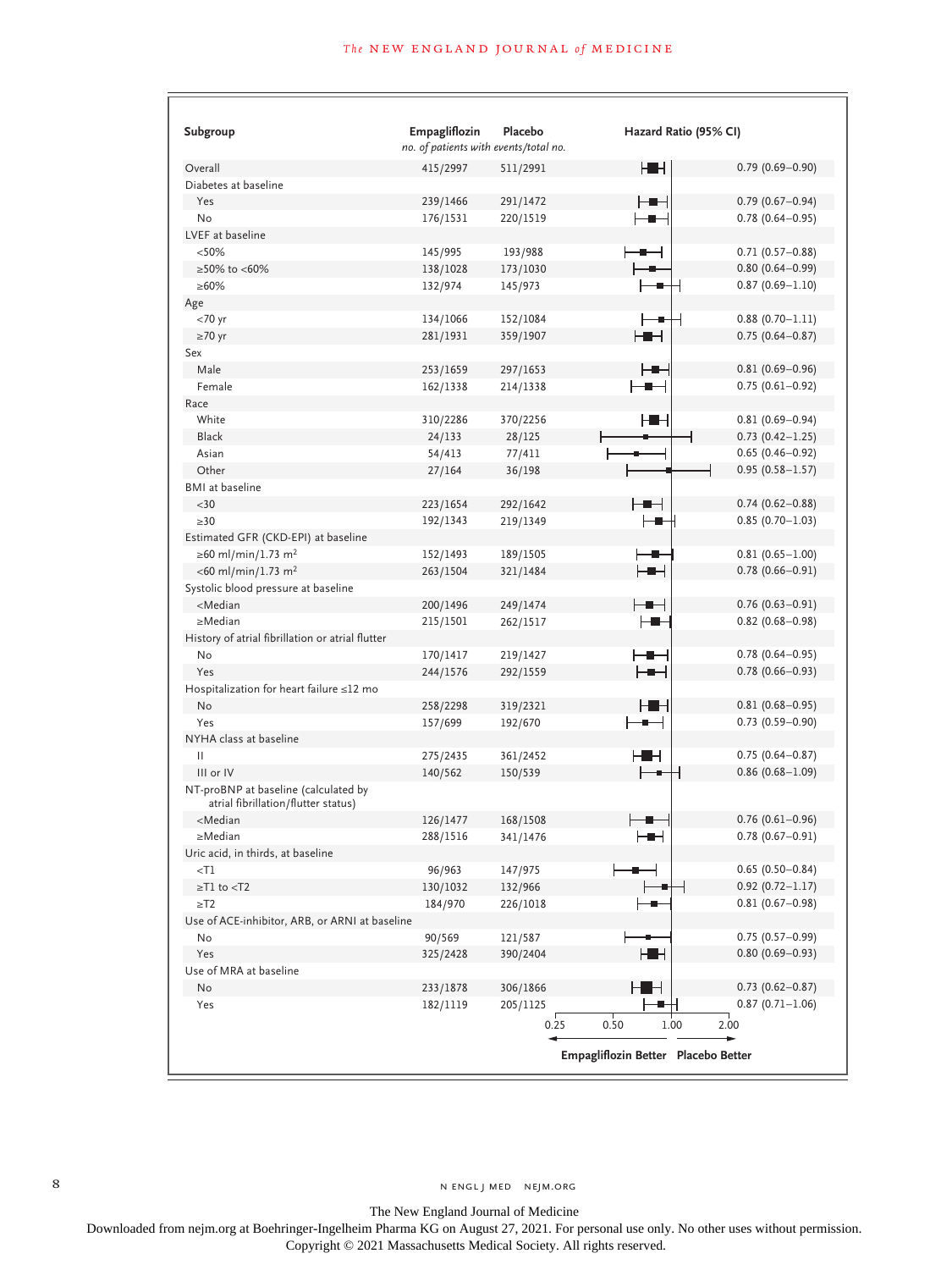## **The NEW ENGLAND JOURNAL of MEDICINE**

| Subgroup                                                                                                        | Empagliflozin<br>no. of patients with events/total no. | Placebo          | Hazard Ratio (95% CI)               |                             |
|-----------------------------------------------------------------------------------------------------------------|--------------------------------------------------------|------------------|-------------------------------------|-----------------------------|
| Overall                                                                                                         | 415/2997                                               | 511/2991         | HH                                  | $0.79(0.69 - 0.90)$         |
| Diabetes at baseline                                                                                            |                                                        |                  |                                     |                             |
| Yes                                                                                                             | 239/1466                                               | 291/1472         | ▅▅                                  | $0.79(0.67 - 0.94)$         |
| No                                                                                                              | 176/1531                                               | 220/1519         | ╍                                   | $0.78$ $(0.64 - 0.95)$      |
| LVEF at baseline                                                                                                |                                                        |                  |                                     |                             |
| < 50%                                                                                                           | 145/995                                                | 193/988          | ╺                                   | $0.71(0.57 - 0.88)$         |
| ≥50% to <60%                                                                                                    | 138/1028                                               | 173/1030         |                                     | $0.80(0.64 - 0.99)$         |
| $\geq 60\%$                                                                                                     | 132/974                                                | 145/973          |                                     | $0.87(0.69 - 1.10)$         |
| Age                                                                                                             |                                                        |                  |                                     |                             |
| <70 yr                                                                                                          | 134/1066                                               | 152/1084         | - 2-                                | $0.88(0.70 - 1.11)$         |
| $\geq 70$ yr                                                                                                    | 281/1931                                               | 359/1907         | ⊢∎⊣                                 | $0.75(0.64 - 0.87)$         |
| Sex                                                                                                             |                                                        |                  |                                     |                             |
| Male                                                                                                            | 253/1659                                               | 297/1653         | ⊢∎⊣                                 | $0.81(0.69 - 0.96)$         |
| Female                                                                                                          | 162/1338                                               | 214/1338         | ╶╋╾┥                                | $0.75(0.61 - 0.92)$         |
| Race                                                                                                            |                                                        |                  |                                     |                             |
| White                                                                                                           | 310/2286                                               | 370/2256         | ▅▅                                  | $0.81(0.69 - 0.94)$         |
| <b>Black</b>                                                                                                    | 24/133                                                 | 28/125           |                                     | $0.73$ $(0.42 - 1.25)$      |
| Asian                                                                                                           | 54/413                                                 | 77/411           |                                     | $0.65(0.46 - 0.92)$         |
| Other                                                                                                           | 27/164                                                 | 36/198           |                                     | $0.95(0.58 - 1.57)$         |
| <b>BMI</b> at baseline                                                                                          |                                                        |                  |                                     |                             |
| $30$                                                                                                            | 223/1654                                               | 292/1642         | ⊢∎⊣                                 | $0.74(0.62 - 0.88)$         |
| $\geq 30$                                                                                                       | 192/1343                                               | 219/1349         | ⊢∎                                  | $0.85(0.70 - 1.03)$         |
| Estimated GFR (CKD-EPI) at baseline                                                                             |                                                        |                  |                                     |                             |
| ≥60 ml/min/1.73 m <sup>2</sup>                                                                                  | 152/1493                                               | 189/1505         | ∙                                   | $0.81(0.65 - 1.00)$         |
| $<$ 60 ml/min/1.73 m <sup>2</sup>                                                                               | 263/1504                                               | 321/1484         | ⊢∎⊣                                 | $0.78(0.66 - 0.91)$         |
| Systolic blood pressure at baseline                                                                             |                                                        |                  |                                     |                             |
| <median< td=""><td>200/1496</td><td>249/1474</td><td>╼▆╾╡</td><td><math>0.76(0.63 - 0.91)</math></td></median<> | 200/1496                                               | 249/1474         | ╼▆╾╡                                | $0.76(0.63 - 0.91)$         |
| $\geq$ Median                                                                                                   | 215/1501                                               | 262/1517         | H -                                 | $0.82$ (0.68-0.98)          |
| History of atrial fibrillation or atrial flutter                                                                |                                                        |                  |                                     |                             |
| No                                                                                                              | 170/1417                                               | 219/1427         | ╼▆╾┥                                | $0.78$ (0.64-0.95)          |
| Yes                                                                                                             | 244/1576                                               | 292/1559         | ⊢∎⊣                                 | $0.78(0.66 - 0.93)$         |
| Hospitalization for heart failure ≤12 mo                                                                        |                                                        |                  |                                     |                             |
| No                                                                                                              | 258/2298                                               | 319/2321         | нн                                  | $0.81(0.68 - 0.95)$         |
| Yes                                                                                                             | 157/699                                                | 192/670          | ⊢                                   | $0.73$ $(0.59 - 0.90)$      |
| NYHA class at baseline                                                                                          |                                                        |                  |                                     |                             |
| Ш                                                                                                               | 275/2435                                               | 361/2452         | нн                                  | $0.75(0.64 - 0.87)$         |
| III or IV                                                                                                       | 140/562                                                | 150/539          |                                     | $0.86$ (0.68-1.09)          |
| NT-proBNP at baseline (calculated by<br>atrial fibrillation/flutter status)                                     |                                                        |                  |                                     |                             |
| <median< td=""><td>126/1477</td><td>168/1508</td><td></td><td><math>0.76</math> (0.61-0.96)</td></median<>      | 126/1477                                               | 168/1508         |                                     | $0.76$ (0.61-0.96)          |
| $\geq$ Median                                                                                                   | 288/1516                                               | 341/1476         | ╺▆╾┥                                | $0.78(0.67 - 0.91)$         |
| Uric acid, in thirds, at baseline<br>$<$ T $1$                                                                  | 96/963                                                 | 147/975          |                                     | $0.65(0.50 - 0.84)$         |
| $\geq$ T1 to $<$ T2                                                                                             | 130/1032                                               | 132/966          |                                     | $0.92(0.72 - 1.17)$         |
| $\geq$ T2                                                                                                       | 184/970                                                | 226/1018         |                                     | $0.81(0.67 - 0.98)$         |
| Use of ACE-inhibitor, ARB, or ARNI at baseline                                                                  |                                                        |                  |                                     |                             |
| No                                                                                                              | 90/569                                                 | 121/587          |                                     | $0.75(0.57 - 0.99)$         |
| Yes                                                                                                             | 325/2428                                               | 390/2404         | HH                                  | $0.80(0.69 - 0.93)$         |
| Use of MRA at baseline                                                                                          |                                                        |                  |                                     |                             |
| No                                                                                                              | 233/1878                                               | 306/1866         | H∎⊣                                 | $0.73$ $(0.62 - 0.87)$      |
| Yes                                                                                                             | 182/1119                                               | 205/1125<br>0.25 | 0.50<br>1.00                        | $0.87(0.71 - 1.06)$<br>2.00 |
|                                                                                                                 |                                                        |                  | Empagliflozin Better Placebo Better |                             |

The New England Journal of Medicine

Downloaded from nejm.org at Boehringer-Ingelheim Pharma KG on August 27, 2021. For personal use only. No other uses without permission.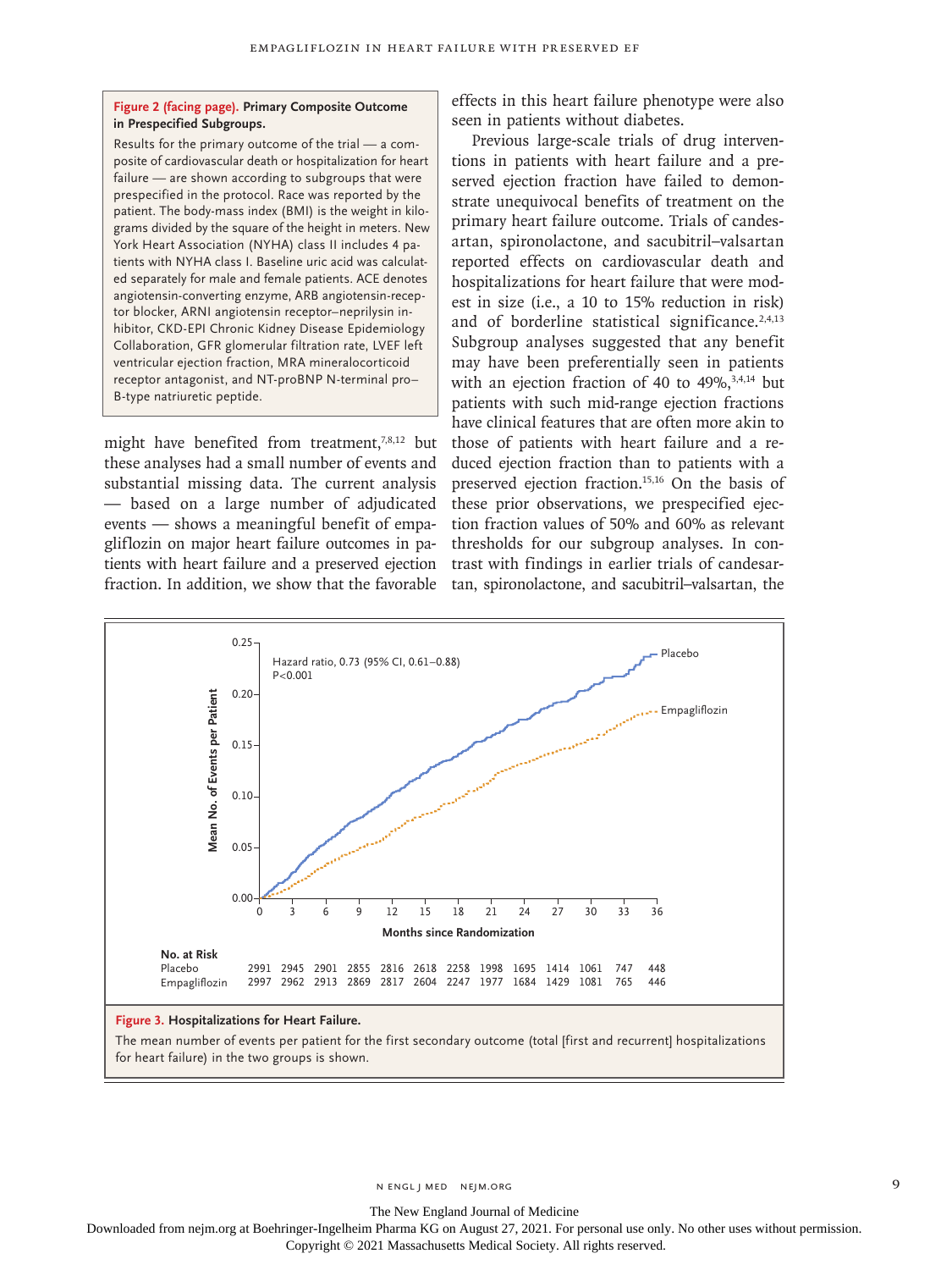#### **Figure 2 (facing page). Primary Composite Outcome in Prespecified Subgroups.**

Results for the primary outcome of the trial — a composite of cardiovascular death or hospitalization for heart failure — are shown according to subgroups that were prespecified in the protocol. Race was reported by the patient. The body-mass index (BMI) is the weight in kilograms divided by the square of the height in meters. New York Heart Association (NYHA) class II includes 4 patients with NYHA class I. Baseline uric acid was calculated separately for male and female patients. ACE denotes angiotensin-converting enzyme, ARB angiotensin-receptor blocker, ARNI angiotensin receptor–neprilysin inhibitor, CKD-EPI Chronic Kidney Disease Epidemiology Collaboration, GFR glomerular filtration rate, LVEF left ventricular ejection fraction, MRA mineralocorticoid receptor antagonist, and NT-proBNP N-terminal pro– B-type natriuretic peptide.

might have benefited from treatment, $7,8,12$  but these analyses had a small number of events and substantial missing data. The current analysis — based on a large number of adjudicated events — shows a meaningful benefit of empagliflozin on major heart failure outcomes in patients with heart failure and a preserved ejection fraction. In addition, we show that the favorable tan, spironolactone, and sacubitril–valsartan, the

effects in this heart failure phenotype were also seen in patients without diabetes.

Previous large-scale trials of drug interventions in patients with heart failure and a preserved ejection fraction have failed to demonstrate unequivocal benefits of treatment on the primary heart failure outcome. Trials of candesartan, spironolactone, and sacubitril–valsartan reported effects on cardiovascular death and hospitalizations for heart failure that were modest in size (i.e., a 10 to 15% reduction in risk) and of borderline statistical significance. $2,4,13$ Subgroup analyses suggested that any benefit may have been preferentially seen in patients with an ejection fraction of 40 to  $49\%$ ,  $3,4,14$  but patients with such mid-range ejection fractions have clinical features that are often more akin to those of patients with heart failure and a reduced ejection fraction than to patients with a preserved ejection fraction.15,16 On the basis of these prior observations, we prespecified ejection fraction values of 50% and 60% as relevant thresholds for our subgroup analyses. In contrast with findings in earlier trials of candesar-



The mean number of events per patient for the first secondary outcome (total [first and recurrent] hospitalizations

The New England Journal of Medicine

Downloaded from nejm.org at Boehringer-Ingelheim Pharma KG on August 27, 2021. For personal use only. No other uses without permission. Copyright © 2021 Massachusetts Medical Society. All rights reserved.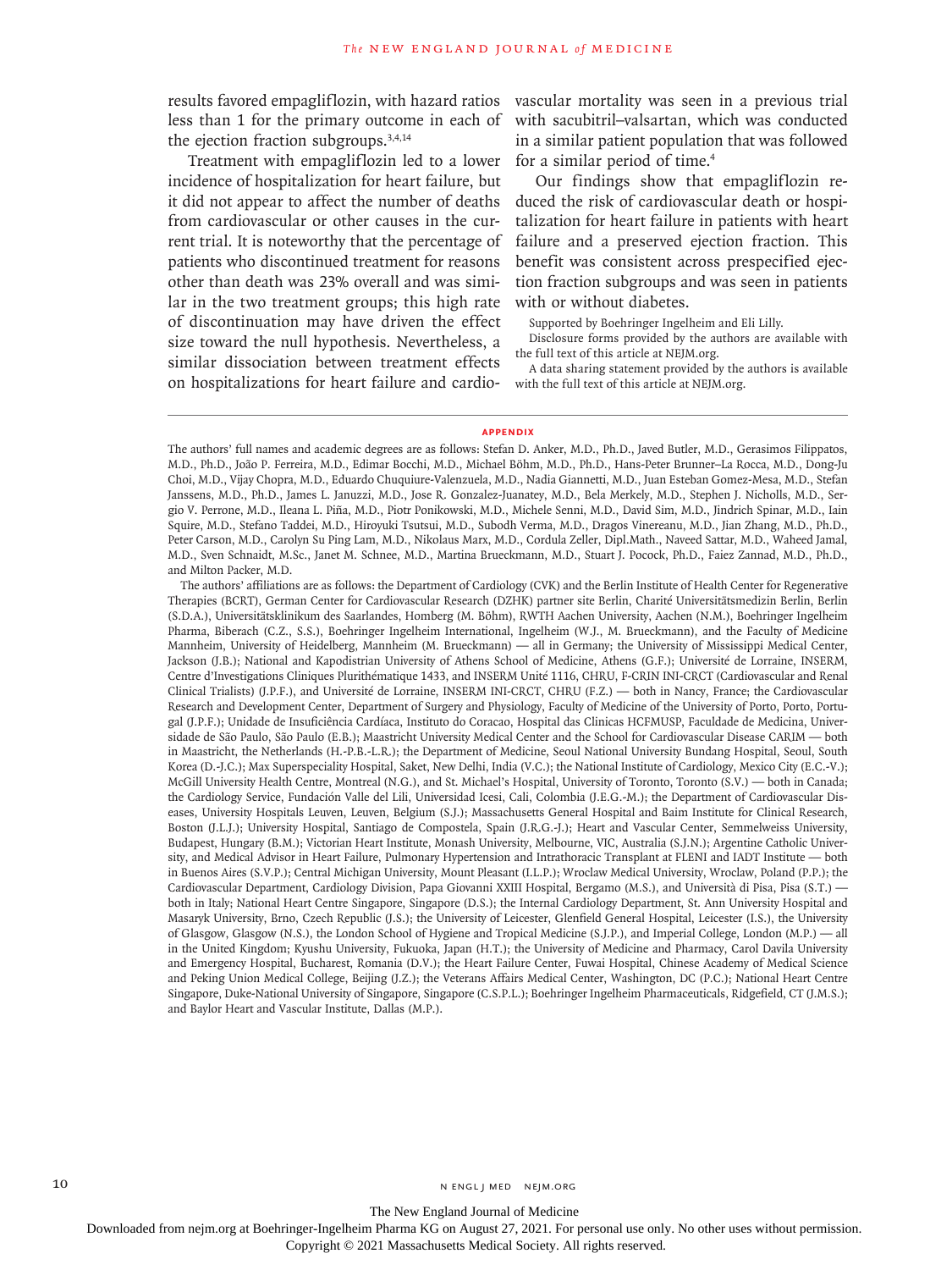less than 1 for the primary outcome in each of the ejection fraction subgroups.3,4,14

Treatment with empagliflozin led to a lower incidence of hospitalization for heart failure, but it did not appear to affect the number of deaths from cardiovascular or other causes in the current trial. It is noteworthy that the percentage of patients who discontinued treatment for reasons other than death was 23% overall and was similar in the two treatment groups; this high rate of discontinuation may have driven the effect size toward the null hypothesis. Nevertheless, a similar dissociation between treatment effects on hospitalizations for heart failure and cardio-

results favored empagliflozin, with hazard ratios vascular mortality was seen in a previous trial with sacubitril–valsartan, which was conducted in a similar patient population that was followed for a similar period of time.4

> Our findings show that empagliflozin reduced the risk of cardiovascular death or hospitalization for heart failure in patients with heart failure and a preserved ejection fraction. This benefit was consistent across prespecified ejection fraction subgroups and was seen in patients with or without diabetes.

Supported by Boehringer Ingelheim and Eli Lilly.

Disclosure forms provided by the authors are available with the full text of this article at NEJM.org.

A data sharing statement provided by the authors is available with the full text of this article at NEJM.org.

#### **Appendix**

The authors' affiliations are as follows: the Department of Cardiology (CVK) and the Berlin Institute of Health Center for Regenerative Therapies (BCRT), German Center for Cardiovascular Research (DZHK) partner site Berlin, Charité Universitätsmedizin Berlin, Berlin (S.D.A.), Universitätsklinikum des Saarlandes, Homberg (M. Böhm), RWTH Aachen University, Aachen (N.M.), Boehringer Ingelheim Pharma, Biberach (C.Z., S.S.), Boehringer Ingelheim International, Ingelheim (W.J., M. Brueckmann), and the Faculty of Medicine Mannheim, University of Heidelberg, Mannheim (M. Brueckmann) — all in Germany; the University of Mississippi Medical Center, Jackson (J.B.); National and Kapodistrian University of Athens School of Medicine, Athens (G.F.); Université de Lorraine, INSERM, Centre d'Investigations Cliniques Plurithématique 1433, and INSERM Unité 1116, CHRU, F-CRIN INI-CRCT (Cardiovascular and Renal Clinical Trialists) (J.P.F.), and Université de Lorraine, INSERM INI-CRCT, CHRU (F.Z.) — both in Nancy, France; the Cardiovascular Research and Development Center, Department of Surgery and Physiology, Faculty of Medicine of the University of Porto, Porto, Portugal (J.P.F.); Unidade de Insuficiência Cardíaca, Instituto do Coracao, Hospital das Clinicas HCFMUSP, Faculdade de Medicina, Universidade de São Paulo, São Paulo (E.B.); Maastricht University Medical Center and the School for Cardiovascular Disease CARIM — both in Maastricht, the Netherlands (H.-P.B.-L.R.); the Department of Medicine, Seoul National University Bundang Hospital, Seoul, South Korea (D.-J.C.); Max Superspeciality Hospital, Saket, New Delhi, India (V.C.); the National Institute of Cardiology, Mexico City (E.C.-V.); McGill University Health Centre, Montreal (N.G.), and St. Michael's Hospital, University of Toronto, Toronto (S.V.) — both in Canada; the Cardiology Service, Fundación Valle del Lili, Universidad Icesi, Cali, Colombia (J.E.G.-M.); the Department of Cardiovascular Diseases, University Hospitals Leuven, Leuven, Belgium (S.J.); Massachusetts General Hospital and Baim Institute for Clinical Research, Boston (J.L.J.); University Hospital, Santiago de Compostela, Spain (J.R.G.-J.); Heart and Vascular Center, Semmelweiss University, Budapest, Hungary (B.M.); Victorian Heart Institute, Monash University, Melbourne, VIC, Australia (S.J.N.); Argentine Catholic University, and Medical Advisor in Heart Failure, Pulmonary Hypertension and Intrathoracic Transplant at FLENI and IADT Institute — both in Buenos Aires (S.V.P.); Central Michigan University, Mount Pleasant (I.L.P.); Wroclaw Medical University, Wroclaw, Poland (P.P.); the Cardiovascular Department, Cardiology Division, Papa Giovanni XXIII Hospital, Bergamo (M.S.), and Università di Pisa, Pisa (S.T.) both in Italy; National Heart Centre Singapore, Singapore (D.S.); the Internal Cardiology Department, St. Ann University Hospital and Masaryk University, Brno, Czech Republic (J.S.); the University of Leicester, Glenfield General Hospital, Leicester (I.S.), the University of Glasgow, Glasgow (N.S.), the London School of Hygiene and Tropical Medicine (S.J.P.), and Imperial College, London (M.P.) — all in the United Kingdom; Kyushu University, Fukuoka, Japan (H.T.); the University of Medicine and Pharmacy, Carol Davila University and Emergency Hospital, Bucharest, Romania (D.V.); the Heart Failure Center, Fuwai Hospital, Chinese Academy of Medical Science and Peking Union Medical College, Beijing (J.Z.); the Veterans Affairs Medical Center, Washington, DC (P.C.); National Heart Centre Singapore, Duke-National University of Singapore, Singapore (C.S.P.L.); Boehringer Ingelheim Pharmaceuticals, Ridgefield, CT (J.M.S.); and Baylor Heart and Vascular Institute, Dallas (M.P.).

The New England Journal of Medicine

Downloaded from nejm.org at Boehringer-Ingelheim Pharma KG on August 27, 2021. For personal use only. No other uses without permission.

The authors' full names and academic degrees are as follows: Stefan D. Anker, M.D., Ph.D., Javed Butler, M.D., Gerasimos Filippatos, M.D., Ph.D., João P. Ferreira, M.D., Edimar Bocchi, M.D., Michael Böhm, M.D., Ph.D., Hans-Peter Brunner–La Rocca, M.D., Dong-Ju Choi, M.D., Vijay Chopra, M.D., Eduardo Chuquiure-Valenzuela, M.D., Nadia Giannetti, M.D., Juan Esteban Gomez-Mesa, M.D., Stefan Janssens, M.D., Ph.D., James L. Januzzi, M.D., Jose R. Gonzalez-Juanatey, M.D., Bela Merkely, M.D., Stephen J. Nicholls, M.D., Sergio V. Perrone, M.D., Ileana L. Piña, M.D., Piotr Ponikowski, M.D., Michele Senni, M.D., David Sim, M.D., Jindrich Spinar, M.D., Iain Squire, M.D., Stefano Taddei, M.D., Hiroyuki Tsutsui, M.D., Subodh Verma, M.D., Dragos Vinereanu, M.D., Jian Zhang, M.D., Ph.D., Peter Carson, M.D., Carolyn Su Ping Lam, M.D., Nikolaus Marx, M.D., Cordula Zeller, Dipl.Math., Naveed Sattar, M.D., Waheed Jamal, M.D., Sven Schnaidt, M.Sc., Janet M. Schnee, M.D., Martina Brueckmann, M.D., Stuart J. Pocock, Ph.D., Faiez Zannad, M.D., Ph.D., and Milton Packer, M.D.